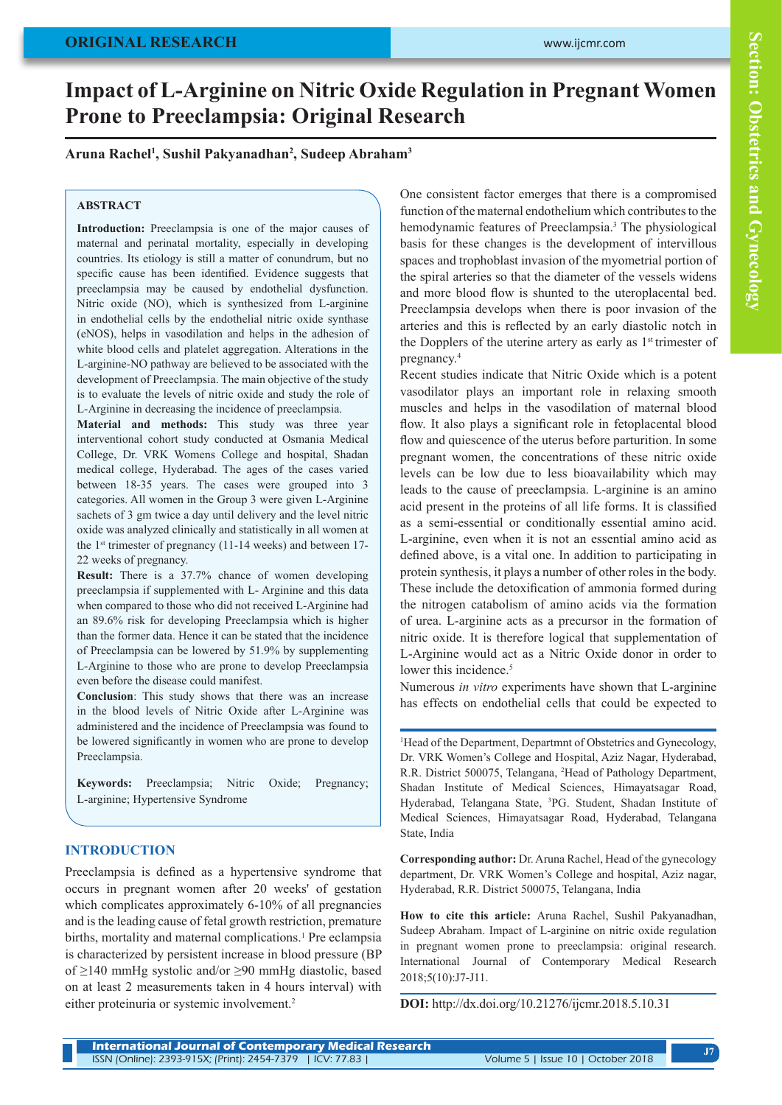# **Impact of L-Arginine on Nitric Oxide Regulation in Pregnant Women Prone to Preeclampsia: Original Research**

# **Aruna Rachel1 , Sushil Pakyanadhan2 , Sudeep Abraham3**

#### **ABSTRACT**

**Introduction:** Preeclampsia is one of the major causes of maternal and perinatal mortality, especially in developing countries. Its etiology is still a matter of conundrum, but no specific cause has been identified. Evidence suggests that preeclampsia may be caused by endothelial dysfunction. Nitric oxide (NO), which is synthesized from L-arginine in endothelial cells by the endothelial nitric oxide synthase (eNOS), helps in vasodilation and helps in the adhesion of white blood cells and platelet aggregation. Alterations in the L-arginine-NO pathway are believed to be associated with the development of Preeclampsia. The main objective of the study is to evaluate the levels of nitric oxide and study the role of L-Arginine in decreasing the incidence of preeclampsia.

**Material and methods:** This study was three year interventional cohort study conducted at Osmania Medical College, Dr. VRK Womens College and hospital, Shadan medical college, Hyderabad. The ages of the cases varied between 18-35 years. The cases were grouped into 3 categories. All women in the Group 3 were given L-Arginine sachets of 3 gm twice a day until delivery and the level nitric oxide was analyzed clinically and statistically in all women at the  $1<sup>st</sup>$  trimester of pregnancy (11-14 weeks) and between 17-22 weeks of pregnancy.

**Result:** There is a 37.7% chance of women developing preeclampsia if supplemented with L- Arginine and this data when compared to those who did not received L-Arginine had an 89.6% risk for developing Preeclampsia which is higher than the former data. Hence it can be stated that the incidence of Preeclampsia can be lowered by 51.9% by supplementing L-Arginine to those who are prone to develop Preeclampsia even before the disease could manifest.

**Conclusion**: This study shows that there was an increase in the blood levels of Nitric Oxide after L-Arginine was administered and the incidence of Preeclampsia was found to be lowered significantly in women who are prone to develop Preeclampsia.

**Keywords:** Preeclampsia; Nitric Oxide; Pregnancy; L-arginine; Hypertensive Syndrome

## **INTRODUCTION**

Preeclampsia is defined as a hypertensive syndrome that occurs in pregnant women after 20 weeks' of gestation which complicates approximately 6-10% of all pregnancies and is the leading cause of fetal growth restriction, premature births, mortality and maternal complications.<sup>1</sup> Pre eclampsia is characterized by persistent increase in blood pressure (BP of ≥140 mmHg systolic and/or ≥90 mmHg diastolic, based on at least 2 measurements taken in 4 hours interval) with either proteinuria or systemic involvement.2

One consistent factor emerges that there is a compromised function of the maternal endothelium which contributes to the hemodynamic features of Preeclampsia.<sup>3</sup> The physiological basis for these changes is the development of intervillous spaces and trophoblast invasion of the myometrial portion of the spiral arteries so that the diameter of the vessels widens and more blood flow is shunted to the uteroplacental bed. Preeclampsia develops when there is poor invasion of the arteries and this is reflected by an early diastolic notch in the Dopplers of the uterine artery as early as  $1<sup>st</sup>$  trimester of pregnancy.4

Recent studies indicate that Nitric Oxide which is a potent vasodilator plays an important role in relaxing smooth muscles and helps in the vasodilation of maternal blood flow. It also plays a significant role in fetoplacental blood flow and quiescence of the uterus before parturition. In some pregnant women, the concentrations of these nitric oxide levels can be low due to less bioavailability which may leads to the cause of preeclampsia. L-arginine is an amino acid present in the proteins of all life forms. It is classified as a semi-essential or conditionally essential amino acid. L-arginine, even when it is not an essential amino acid as defined above, is a vital one. In addition to participating in protein synthesis, it plays a number of other roles in the body. These include the detoxification of ammonia formed during the nitrogen catabolism of amino acids via the formation of urea. L-arginine acts as a precursor in the formation of nitric oxide. It is therefore logical that supplementation of L-Arginine would act as a Nitric Oxide donor in order to lower this incidence.<sup>5</sup>

Numerous *in vitro* experiments have shown that L-arginine has effects on endothelial cells that could be expected to

1 Head of the Department, Departmnt of Obstetrics and Gynecology, Dr. VRK Women's College and Hospital, Aziz Nagar, Hyderabad, R.R. District 500075, Telangana, 2 Head of Pathology Department, Shadan Institute of Medical Sciences, Himayatsagar Road, Hyderabad, Telangana State, <sup>3</sup>PG. Student, Shadan Institute of Medical Sciences, Himayatsagar Road, Hyderabad, Telangana State, India

**Corresponding author:** Dr. Aruna Rachel, Head of the gynecology department, Dr. VRK Women's College and hospital, Aziz nagar, Hyderabad, R.R. District 500075, Telangana, India

**How to cite this article:** Aruna Rachel, Sushil Pakyanadhan, Sudeep Abraham. Impact of L-arginine on nitric oxide regulation in pregnant women prone to preeclampsia: original research. International Journal of Contemporary Medical Research 2018;5(10):J7-J11.

**DOI:** http://dx.doi.org/10.21276/ijcmr.2018.5.10.31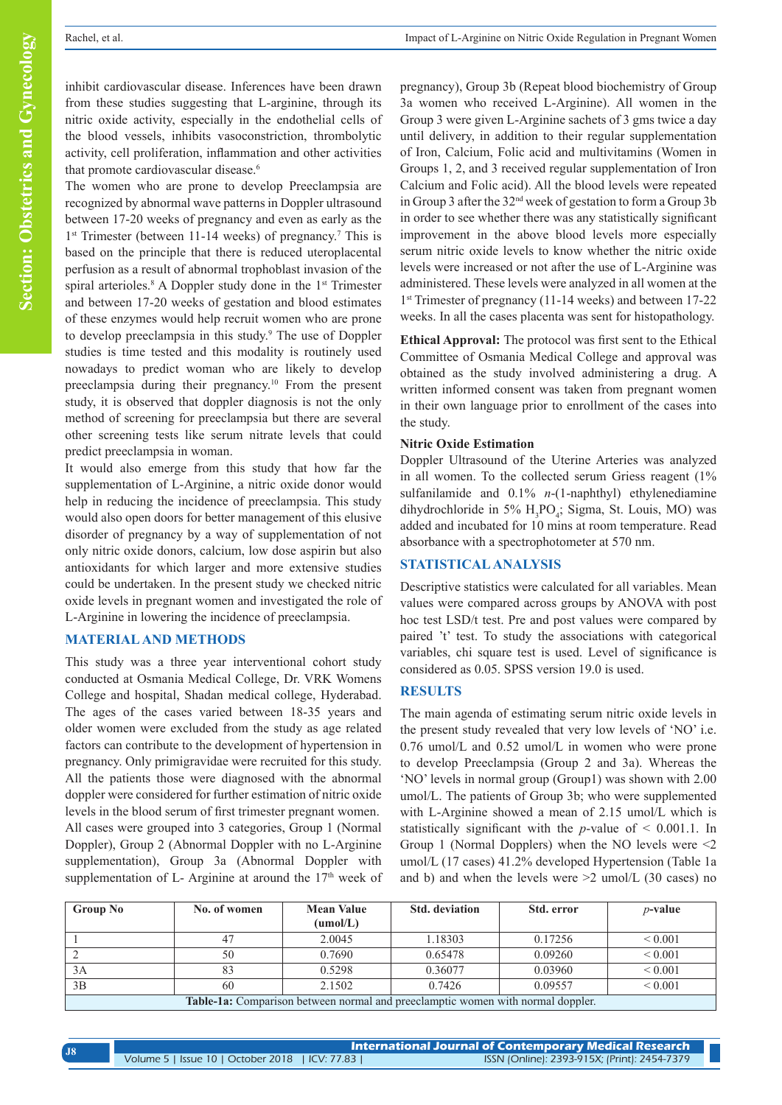inhibit cardiovascular disease. Inferences have been drawn from these studies suggesting that L-arginine, through its nitric oxide activity, especially in the endothelial cells of the blood vessels, inhibits vasoconstriction, thrombolytic activity, cell proliferation, inflammation and other activities that promote cardiovascular disease.<sup>6</sup>

The women who are prone to develop Preeclampsia are recognized by abnormal wave patterns in Doppler ultrasound between 17-20 weeks of pregnancy and even as early as the 1<sup>st</sup> Trimester (between 11-14 weeks) of pregnancy.<sup>7</sup> This is based on the principle that there is reduced uteroplacental perfusion as a result of abnormal trophoblast invasion of the spiral arterioles.<sup>8</sup> A Doppler study done in the 1<sup>st</sup> Trimester and between 17-20 weeks of gestation and blood estimates of these enzymes would help recruit women who are prone to develop preeclampsia in this study.<sup>9</sup> The use of Doppler studies is time tested and this modality is routinely used nowadays to predict woman who are likely to develop preeclampsia during their pregnancy.10 From the present study, it is observed that doppler diagnosis is not the only method of screening for preeclampsia but there are several other screening tests like serum nitrate levels that could predict preeclampsia in woman.

It would also emerge from this study that how far the supplementation of L-Arginine, a nitric oxide donor would help in reducing the incidence of preeclampsia. This study would also open doors for better management of this elusive disorder of pregnancy by a way of supplementation of not only nitric oxide donors, calcium, low dose aspirin but also antioxidants for which larger and more extensive studies could be undertaken. In the present study we checked nitric oxide levels in pregnant women and investigated the role of L-Arginine in lowering the incidence of preeclampsia.

## **MATERIAL AND METHODS**

This study was a three year interventional cohort study conducted at Osmania Medical College, Dr. VRK Womens College and hospital, Shadan medical college, Hyderabad. The ages of the cases varied between 18-35 years and older women were excluded from the study as age related factors can contribute to the development of hypertension in pregnancy. Only primigravidae were recruited for this study. All the patients those were diagnosed with the abnormal doppler were considered for further estimation of nitric oxide levels in the blood serum of first trimester pregnant women. All cases were grouped into 3 categories, Group 1 (Normal Doppler), Group 2 (Abnormal Doppler with no L-Arginine supplementation), Group 3a (Abnormal Doppler with supplementation of L- Arginine at around the  $17<sup>th</sup>$  week of

pregnancy), Group 3b (Repeat blood biochemistry of Group 3a women who received L-Arginine). All women in the Group 3 were given L-Arginine sachets of 3 gms twice a day until delivery, in addition to their regular supplementation of Iron, Calcium, Folic acid and multivitamins (Women in Groups 1, 2, and 3 received regular supplementation of Iron Calcium and Folic acid). All the blood levels were repeated in Group 3 after the 32nd week of gestation to form a Group 3b in order to see whether there was any statistically significant improvement in the above blood levels more especially serum nitric oxide levels to know whether the nitric oxide levels were increased or not after the use of L-Arginine was administered. These levels were analyzed in all women at the 1st Trimester of pregnancy (11-14 weeks) and between 17-22 weeks. In all the cases placenta was sent for histopathology.

**Ethical Approval:** The protocol was first sent to the Ethical Committee of Osmania Medical College and approval was obtained as the study involved administering a drug. A written informed consent was taken from pregnant women in their own language prior to enrollment of the cases into the study.

#### **Nitric Oxide Estimation**

Doppler Ultrasound of the Uterine Arteries was analyzed in all women. To the collected serum Griess reagent (1% sulfanilamide and 0.1% *n*-(1-naphthyl) ethylenediamine dihydrochloride in 5%  $H_3PO_4$ ; Sigma, St. Louis, MO) was added and incubated for 10 mins at room temperature. Read absorbance with a spectrophotometer at 570 nm.

#### **STATISTICAL ANALYSIS**

Descriptive statistics were calculated for all variables. Mean values were compared across groups by ANOVA with post hoc test LSD/t test. Pre and post values were compared by paired 't' test. To study the associations with categorical variables, chi square test is used. Level of significance is considered as 0.05. SPSS version 19.0 is used.

## **RESULTS**

The main agenda of estimating serum nitric oxide levels in the present study revealed that very low levels of 'NO' i.e. 0.76 umol/L and 0.52 umol/L in women who were prone to develop Preeclampsia (Group 2 and 3a). Whereas the 'NO' levels in normal group (Group1) was shown with 2.00 umol/L. The patients of Group 3b; who were supplemented with L-Arginine showed a mean of 2.15 umol/L which is statistically significant with the *p*-value of < 0.001.1. In Group 1 (Normal Dopplers) when the NO levels were  $\leq 2$ umol/L (17 cases) 41.2% developed Hypertension (Table 1a and b) and when the levels were  $\geq 2$  umol/L (30 cases) no

| <b>Group No</b>                                                                        | No. of women | <b>Mean Value</b><br>(umol/L) | <b>Std.</b> deviation | Std. error | $p$ -value   |
|----------------------------------------------------------------------------------------|--------------|-------------------------------|-----------------------|------------|--------------|
|                                                                                        | 47           | 2.0045                        | 1.18303               | 0.17256    | ${}_{0.001}$ |
|                                                                                        | 50           | 0.7690                        | 0.65478               | 0.09260    | ${}_{0.001}$ |
| 3A                                                                                     | 83           | 0.5298                        | 0.36077               | 0.03960    | ${}_{0.001}$ |
| 3B                                                                                     | 60           | 2.1502                        | 0.7426                | 0.09557    | ${}< 0.001$  |
| <b>Table-1a:</b> Comparison between normal and preeclamptic women with normal doppler. |              |                               |                       |            |              |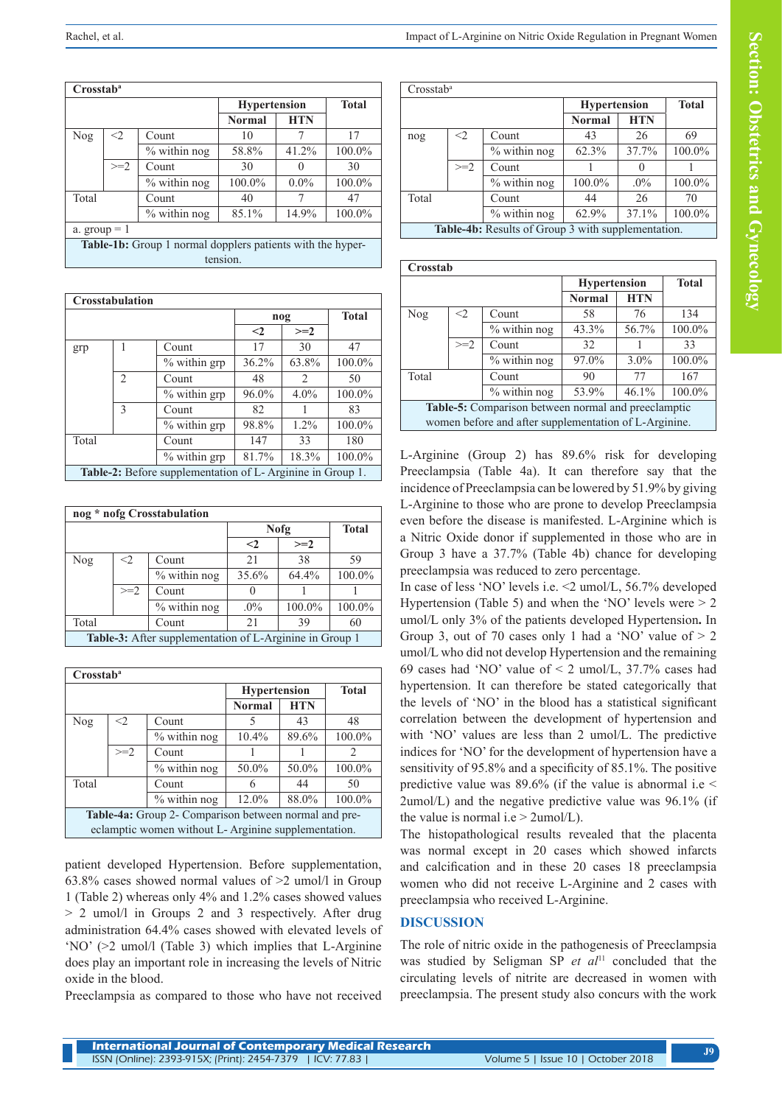| Crosstab <sup>a</sup>                                      |       |                 |                     |              |        |  |
|------------------------------------------------------------|-------|-----------------|---------------------|--------------|--------|--|
|                                                            |       |                 | <b>Hypertension</b> | <b>Total</b> |        |  |
|                                                            |       |                 | <b>Normal</b>       | <b>HTN</b>   |        |  |
| Nog                                                        | $<$ 2 | Count           | 10                  | 7            | 17     |  |
|                                                            |       | $\%$ within nog | 58.8%               | 41.2%        | 100.0% |  |
|                                                            | $>=2$ | Count           | 30                  |              | 30     |  |
|                                                            |       | $%$ within nog  | 100.0%              | $0.0\%$      | 100.0% |  |
| Total                                                      |       | Count           | 40                  |              | 47     |  |
|                                                            |       | $%$ within nog  | 85.1%               | 14.9%        | 100.0% |  |
| a. group $= 1$                                             |       |                 |                     |              |        |  |
| Table-1b: Group 1 normal dopplers patients with the hyper- |       |                 |                     |              |        |  |
| tension.                                                   |       |                 |                     |              |        |  |

| Crosstabulation                                            |                               |              |          |                               |              |  |
|------------------------------------------------------------|-------------------------------|--------------|----------|-------------------------------|--------------|--|
|                                                            |                               |              | nog      |                               | <b>Total</b> |  |
|                                                            |                               |              | $\leq$ 2 | $>=2$                         |              |  |
| grp                                                        |                               | Count        | 17       | 30                            | 47           |  |
|                                                            |                               | % within grp | 36.2%    | 63.8%                         | 100.0%       |  |
|                                                            | $\mathfrak{D}_{\mathfrak{p}}$ | Count        | 48       | $\mathfrak{D}_{\mathfrak{p}}$ | 50           |  |
|                                                            |                               | % within grp | 96.0%    | $4.0\%$                       | 100.0%       |  |
|                                                            | 3                             | Count        | 82       |                               | 83           |  |
|                                                            |                               | % within grp | 98.8%    | $1.2\%$                       | 100.0%       |  |
| Total                                                      |                               | Count        | 147      | 33                            | 180          |  |
|                                                            |                               | % within grp | 81.7%    | 18.3%                         | 100.0%       |  |
| Table-2: Before supplementation of L- Arginine in Group 1. |                               |              |          |                               |              |  |

| nog * nofg Crosstabulation                              |          |                |              |              |        |  |
|---------------------------------------------------------|----------|----------------|--------------|--------------|--------|--|
|                                                         |          | Nofg           |              | <b>Total</b> |        |  |
|                                                         |          |                | $\leq$ 2     | $>=2$        |        |  |
| Nog                                                     | $\leq$ 2 | Count          | 2.1          | 38           | 59     |  |
|                                                         |          | $%$ within nog | 35.6%        | 64.4%        | 100.0% |  |
|                                                         | $>=2$    | Count          | $\mathbf{0}$ |              |        |  |
|                                                         |          | $%$ within nog | $.0\%$       | 100.0%       | 100.0% |  |
| Total                                                   |          | Count          | 2.1          | 39           | 60     |  |
| Table-3: After supplementation of L-Arginine in Group 1 |          |                |              |              |        |  |

| Crosstab <sup>a</sup>                                 |       |                |                             |       |               |  |
|-------------------------------------------------------|-------|----------------|-----------------------------|-------|---------------|--|
|                                                       |       |                | <b>Hypertension</b>         |       | <b>Total</b>  |  |
|                                                       |       |                | <b>HTN</b><br><b>Normal</b> |       |               |  |
| Nog                                                   | $<$ 2 | Count          | 5                           | 43    | 48            |  |
|                                                       |       | $%$ within nog | $10.4\%$                    | 89.6% | 100.0%        |  |
|                                                       | $>=2$ | Count          |                             |       | $\mathcal{D}$ |  |
|                                                       |       | $%$ within nog | 50.0%                       | 50.0% | 100.0%        |  |
| Total                                                 |       | Count          | 6                           | 44    | 50            |  |
|                                                       |       | $%$ within nog | 12.0%                       | 88.0% | 100.0%        |  |
| Table-4a: Group 2- Comparison between normal and pre- |       |                |                             |       |               |  |
| eclamptic women without L-Arginine supplementation.   |       |                |                             |       |               |  |

patient developed Hypertension. Before supplementation, 63.8% cases showed normal values of >2 umol/l in Group 1 (Table 2) whereas only 4% and 1.2% cases showed values > 2 umol/l in Groups 2 and 3 respectively. After drug administration 64.4% cases showed with elevated levels of 'NO' (>2 umol/l (Table 3) which implies that L-Arginine does play an important role in increasing the levels of Nitric oxide in the blood.

Preeclampsia as compared to those who have not received

| Crosstab <sup>a</sup>                              |       |                          |                     |            |              |
|----------------------------------------------------|-------|--------------------------|---------------------|------------|--------------|
|                                                    |       |                          | <b>Hypertension</b> |            | <b>Total</b> |
|                                                    |       |                          | <b>Normal</b>       | <b>HTN</b> |              |
| nog                                                | $<$ 2 | Count                    | 43                  | 26         | 69           |
|                                                    |       | $%$ within nog           | 62.3%               | 37.7%      | 100.0%       |
|                                                    | $>=2$ | Count                    |                     |            |              |
|                                                    |       | $\frac{6}{9}$ within nog | 100.0%              | $.0\%$     | 100.0%       |
| Total                                              |       | Count                    | 44                  | 26         | 70           |
|                                                    |       | $%$ within nog           | 62.9%               | 37.1%      | 100.0%       |
| Table-4b: Results of Group 3 with supplementation. |       |                          |                     |            |              |

| Crosstab                                              |                                |                |                     |            |              |  |
|-------------------------------------------------------|--------------------------------|----------------|---------------------|------------|--------------|--|
|                                                       |                                |                | <b>Hypertension</b> |            | <b>Total</b> |  |
|                                                       |                                |                | <b>Normal</b>       | <b>HTN</b> |              |  |
| Nog                                                   | $<$ 2                          | Count          | 58                  | 76         | 134          |  |
|                                                       |                                | $%$ within nog | 43.3%               | 56.7%      | 100.0%       |  |
|                                                       | $>=2$                          | Count          | 32                  |            | 33           |  |
|                                                       |                                | $%$ within nog | 97.0%               | $3.0\%$    | 100.0%       |  |
| Total                                                 |                                | Count          | 90                  | 77         | 167          |  |
|                                                       | % within nog<br>53.9%<br>46.1% |                |                     |            | 100.0%       |  |
| Table-5: Comparison between normal and preeclamptic   |                                |                |                     |            |              |  |
| women before and after supplementation of L-Arginine. |                                |                |                     |            |              |  |

L-Arginine (Group 2) has 89.6% risk for developing Preeclampsia (Table 4a). It can therefore say that the incidence of Preeclampsia can be lowered by 51.9% by giving L-Arginine to those who are prone to develop Preeclampsia even before the disease is manifested. L-Arginine which is a Nitric Oxide donor if supplemented in those who are in Group 3 have a 37.7% (Table 4b) chance for developing preeclampsia was reduced to zero percentage.

In case of less 'NO' levels i.e. <2 umol/L, 56.7% developed Hypertension (Table 5) and when the 'NO' levels were  $> 2$ umol/L only 3% of the patients developed Hypertension**.** In Group 3, out of 70 cases only 1 had a 'NO' value of  $> 2$ umol/L who did not develop Hypertension and the remaining 69 cases had 'NO' value of  $\leq$  2 umol/L, 37.7% cases had hypertension. It can therefore be stated categorically that the levels of 'NO' in the blood has a statistical significant correlation between the development of hypertension and with 'NO' values are less than 2 umol/L. The predictive indices for 'NO' for the development of hypertension have a sensitivity of 95.8% and a specificity of 85.1%. The positive predictive value was  $89.6\%$  (if the value is abnormal i.e  $\leq$ 2umol/L) and the negative predictive value was 96.1% (if the value is normal i.e  $> 2$ umol/L).

The histopathological results revealed that the placenta was normal except in 20 cases which showed infarcts and calcification and in these 20 cases 18 preeclampsia women who did not receive L-Arginine and 2 cases with preeclampsia who received L-Arginine.

# **DISCUSSION**

The role of nitric oxide in the pathogenesis of Preeclampsia was studied by Seligman SP et al<sup>11</sup> concluded that the circulating levels of nitrite are decreased in women with preeclampsia. The present study also concurs with the work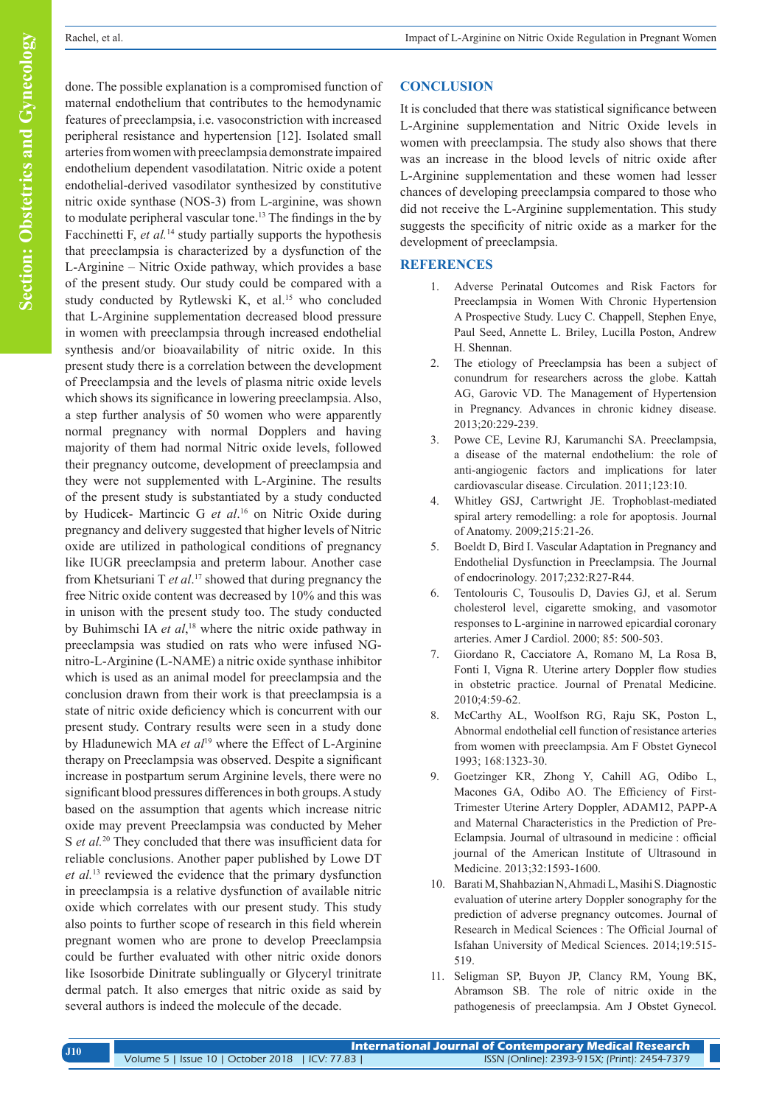done. The possible explanation is a compromised function of maternal endothelium that contributes to the hemodynamic features of preeclampsia, i.e. vasoconstriction with increased peripheral resistance and hypertension [12]. Isolated small arteries from women with preeclampsia demonstrate impaired endothelium dependent vasodilatation. Nitric oxide a potent endothelial-derived vasodilator synthesized by constitutive nitric oxide synthase (NOS-3) from L-arginine, was shown to modulate peripheral vascular tone.13 The findings in the by Facchinetti F, *et al.*<sup>14</sup> study partially supports the hypothesis that preeclampsia is characterized by a dysfunction of the L-Arginine – Nitric Oxide pathway, which provides a base of the present study. Our study could be compared with a study conducted by Rytlewski K, et al.<sup>15</sup> who concluded that L-Arginine supplementation decreased blood pressure in women with preeclampsia through increased endothelial synthesis and/or bioavailability of nitric oxide. In this present study there is a correlation between the development of Preeclampsia and the levels of plasma nitric oxide levels which shows its significance in lowering preeclampsia. Also, a step further analysis of 50 women who were apparently normal pregnancy with normal Dopplers and having majority of them had normal Nitric oxide levels, followed their pregnancy outcome, development of preeclampsia and they were not supplemented with L-Arginine. The results of the present study is substantiated by a study conducted by Hudicek- Martincic G *et al*. 16 on Nitric Oxide during pregnancy and delivery suggested that higher levels of Nitric oxide are utilized in pathological conditions of pregnancy like IUGR preeclampsia and preterm labour. Another case from Khetsuriani T *et al*. 17 showed that during pregnancy the free Nitric oxide content was decreased by 10% and this was in unison with the present study too. The study conducted by Buhimschi IA *et al*, 18 where the nitric oxide pathway in preeclampsia was studied on rats who were infused NGnitro-L-Arginine (L-NAME) a nitric oxide synthase inhibitor which is used as an animal model for preeclampsia and the conclusion drawn from their work is that preeclampsia is a state of nitric oxide deficiency which is concurrent with our present study. Contrary results were seen in a study done by Hladunewich MA *et al*<sup>19</sup> where the Effect of L-Arginine therapy on Preeclampsia was observed. Despite a significant increase in postpartum serum Arginine levels, there were no significant blood pressures differences in both groups. A study based on the assumption that agents which increase nitric oxide may prevent Preeclampsia was conducted by Meher S *et al.*<sup>20</sup> They concluded that there was insufficient data for reliable conclusions. Another paper published by Lowe DT *et al.*13 reviewed the evidence that the primary dysfunction in preeclampsia is a relative dysfunction of available nitric oxide which correlates with our present study. This study also points to further scope of research in this field wherein pregnant women who are prone to develop Preeclampsia could be further evaluated with other nitric oxide donors like Isosorbide Dinitrate sublingually or Glyceryl trinitrate dermal patch. It also emerges that nitric oxide as said by several authors is indeed the molecule of the decade.

# **CONCLUSION**

It is concluded that there was statistical significance between L-Arginine supplementation and Nitric Oxide levels in women with preeclampsia. The study also shows that there was an increase in the blood levels of nitric oxide after L-Arginine supplementation and these women had lesser chances of developing preeclampsia compared to those who did not receive the L-Arginine supplementation. This study suggests the specificity of nitric oxide as a marker for the development of preeclampsia.

## **REFERENCES**

- 1. Adverse Perinatal Outcomes and Risk Factors for Preeclampsia in Women With Chronic Hypertension A Prospective Study. Lucy C. Chappell, Stephen Enye, Paul Seed, Annette L. Briley, Lucilla Poston, Andrew H. Shennan.
- 2. The etiology of Preeclampsia has been a subject of conundrum for researchers across the globe. Kattah AG, Garovic VD. The Management of Hypertension in Pregnancy. Advances in chronic kidney disease. 2013;20:229-239.
- 3. Powe CE, Levine RJ, Karumanchi SA. Preeclampsia, a disease of the maternal endothelium: the role of anti-angiogenic factors and implications for later cardiovascular disease. Circulation. 2011;123:10.
- 4. Whitley GSJ, Cartwright JE. Trophoblast-mediated spiral artery remodelling: a role for apoptosis. Journal of Anatomy. 2009;215:21-26.
- 5. Boeldt D, Bird I. Vascular Adaptation in Pregnancy and Endothelial Dysfunction in Preeclampsia. The Journal of endocrinology. 2017;232:R27-R44.
- 6. Tentolouris C, Tousoulis D, Davies GJ, et al. Serum cholesterol level, cigarette smoking, and vasomotor responses to L-arginine in narrowed epicardial coronary arteries. Amer J Cardiol. 2000; 85: 500-503.
- 7. Giordano R, Cacciatore A, Romano M, La Rosa B, Fonti I, Vigna R. Uterine artery Doppler flow studies in obstetric practice. Journal of Prenatal Medicine. 2010;4:59-62.
- 8. McCarthy AL, Woolfson RG, Raju SK, Poston L, Abnormal endothelial cell function of resistance arteries from women with preeclampsia. Am F Obstet Gynecol 1993; 168:1323-30.
- 9. Goetzinger KR, Zhong Y, Cahill AG, Odibo L, Macones GA, Odibo AO. The Efficiency of First-Trimester Uterine Artery Doppler, ADAM12, PAPP-A and Maternal Characteristics in the Prediction of Pre-Eclampsia. Journal of ultrasound in medicine : official journal of the American Institute of Ultrasound in Medicine. 2013;32:1593-1600.
- 10. Barati M, Shahbazian N, Ahmadi L, Masihi S. Diagnostic evaluation of uterine artery Doppler sonography for the prediction of adverse pregnancy outcomes. Journal of Research in Medical Sciences : The Official Journal of Isfahan University of Medical Sciences. 2014;19:515- 519.
- 11. Seligman SP, Buyon JP, Clancy RM, Young BK, Abramson SB. The role of nitric oxide in the pathogenesis of preeclampsia. Am J Obstet Gynecol.